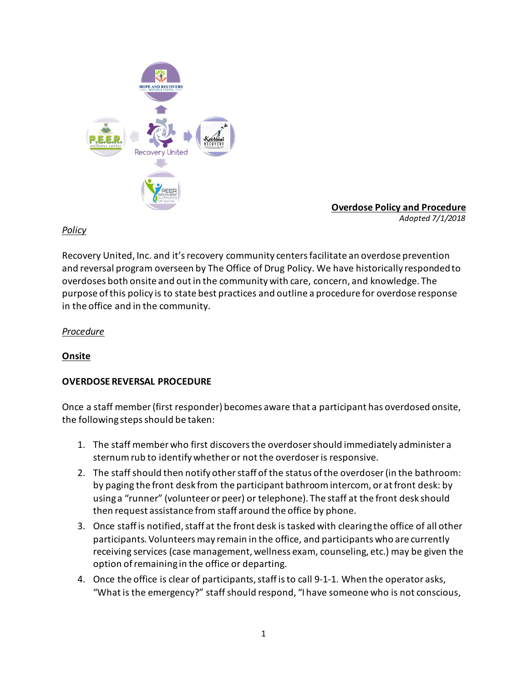

**Overdose Policy and Procedure** *Adopted 7/1/2018*

## *Policy*

Recovery United, Inc. and it's recovery community centersfacilitate an overdose prevention and reversal program overseen by The Office of Drug Policy. We have historically responded to overdoses both onsite and out in the community with care, concern, and knowledge. The purpose of this policy is to state best practices and outline a procedure for overdose response in the office and in the community.

### *Procedure*

## **Onsite**

## **OVERDOSE REVERSAL PROCEDURE**

Once a staff member (first responder) becomes aware that a participant has overdosed onsite, the following steps should be taken:

- 1. The staff member who first discovers the overdoser should immediately administer a sternum rub to identify whether or not the overdoser is responsive.
- 2. The staff should then notify other staff of the status of the overdoser (in the bathroom: by paging the front desk from the participant bathroom intercom, or at front desk: by using a "runner" (volunteer or peer) or telephone). The staff at the front desk should then request assistance from staff around the office by phone.
- 3. Once staff is notified, staff at the front desk is tasked with clearing the office of all other participants. Volunteers may remain in the office, and participants who are currently receiving services (case management, wellness exam, counseling, etc.) may be given the option of remaining in the office or departing.
- 4. Once the office is clear of participants, staff is to call 9-1-1. When the operator asks, "What is the emergency?" staff should respond, "I have someone who is not conscious,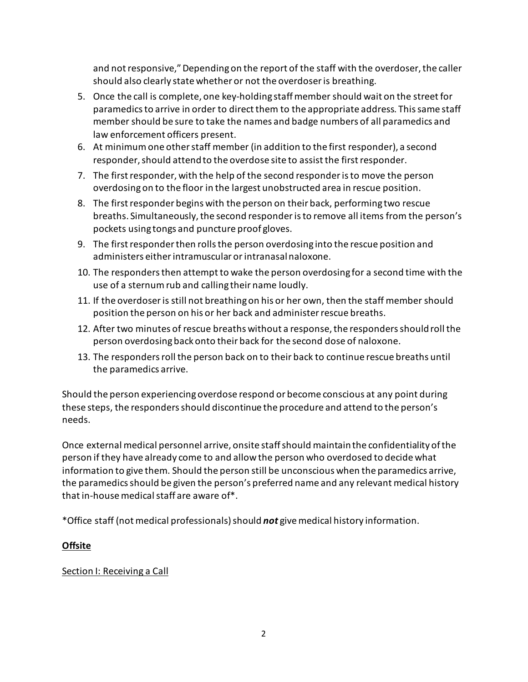and not responsive," Depending on the report of the staff with the overdoser, the caller should also clearly state whether or not the overdoser is breathing.

- 5. Once the call is complete, one key-holding staff member should wait on the street for paramedics to arrive in order to direct them to the appropriate address. This same staff member should be sure to take the names and badge numbers of all paramedics and law enforcement officers present.
- 6. At minimum one other staff member (in addition to the first responder), a second responder, should attend to the overdose site to assist the first responder.
- 7. The first responder, with the help of the second responder is to move the person overdosing on to the floor in the largest unobstructed area in rescue position.
- 8. The first responder begins with the person on their back, performing two rescue breaths. Simultaneously, the second responder is to remove all items from the person's pockets using tongs and puncture proof gloves.
- 9. The first responder then rolls the person overdosing into the rescue position and administers either intramuscular or intranasal naloxone.
- 10. The responders then attempt to wake the person overdosing for a second time with the use of a sternum rub and calling their name loudly.
- 11. If the overdoser is still not breathing on his or her own, then the staff member should position the person on his or her back and administer rescue breaths.
- 12. After two minutes of rescue breaths without a response, the responders should roll the person overdosing back onto their back for the second dose of naloxone.
- 13. The responders roll the person back on to their back to continue rescue breaths until the paramedics arrive.

Should the person experiencing overdose respond or become conscious at any point during these steps, the responders should discontinue the procedure and attend to the person's needs.

Once external medical personnel arrive, onsite staff should maintain the confidentiality of the person if they have already come to and allow the person who overdosed to decide what information to give them. Should the person still be unconscious when the paramedics arrive, the paramedics should be given the person's preferred name and any relevant medical history that in-house medical staff are aware of\*.

\*Office staff (not medical professionals) should *not* give medical history information.

# **Offsite**

## Section I: Receiving a Call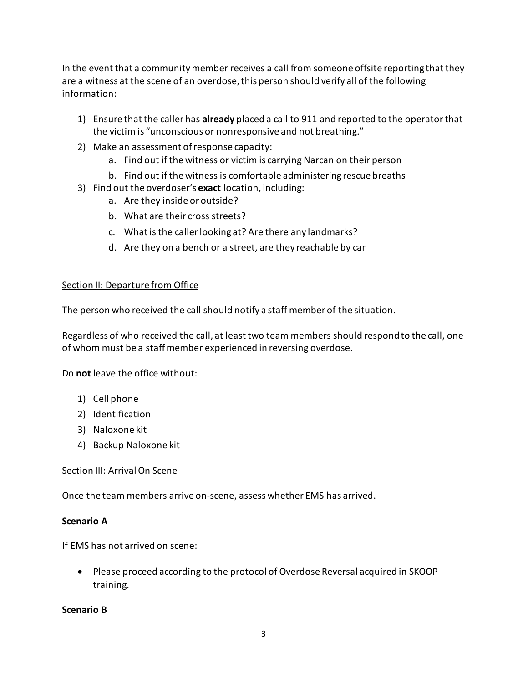In the event that a community member receives a call from someone offsite reporting that they are a witness at the scene of an overdose, this person should verify all of the following information:

- 1) Ensure that the caller has **already** placed a call to 911 and reported to the operator that the victim is "unconscious or nonresponsive and not breathing."
- 2) Make an assessment of response capacity:
	- a. Find out if the witness or victim is carrying Narcan on their person
	- b. Find out if the witness is comfortable administering rescue breaths
- 3) Find out the overdoser's **exact** location, including:
	- a. Are they inside or outside?
	- b. What are their cross streets?
	- c. What is the caller looking at? Are there any landmarks?
	- d. Are they on a bench or a street, are they reachable by car

### Section II: Departure from Office

The person who received the call should notify a staff member of the situation.

Regardless of who received the call, at least two team members should respond to the call, one of whom must be a staff member experienced in reversing overdose.

Do **not** leave the office without:

- 1) Cell phone
- 2) Identification
- 3) Naloxone kit
- 4) Backup Naloxone kit

## Section III: Arrival On Scene

Once the team members arrive on-scene, assess whether EMS has arrived.

## **Scenario A**

If EMS has not arrived on scene:

• Please proceed according to the protocol of Overdose Reversal acquired in SKOOP training.

## **Scenario B**